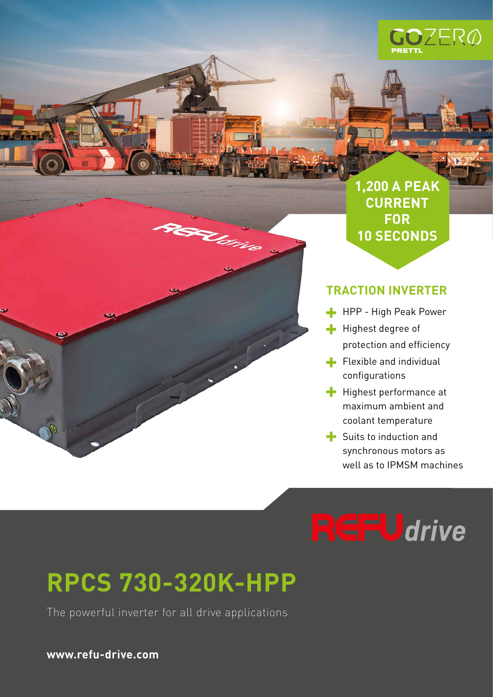

**1,200 A PEAK CURRENT FOR 10 SECONDS**

## **TRACTION INVERTER**

- **HPP** High Peak Power
- Highest degree of protection and efficiency
- $\blacksquare$  Flexible and individual configurations
- $\blacksquare$  Highest performance at maximum ambient and coolant temperature
- Suits to induction and synchronous motors as well as to IPMSM machines

# **SFUdrive**

# **RPCS 730-320K-HPP**

**PERLITIE** 

فتباد

The powerful inverter for all drive applications

**www.refu-drive.com**